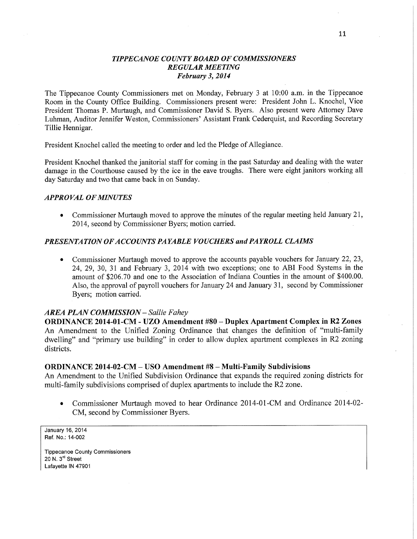# *TIPPECANOE* C0 *UNTY BOARD* OF *COMMISSIONERS REGULAR MEETING Februaty* 3, *2014*

The Tippecanoe County Commissioners met on Monday, February 3 at **10:00 am.** in the Tippecanoe Room in the County Office Building. Commissioners present were: President John L. Knochel, **Vice**  President Thomas P. Murtaugh, and Commissioner David S. Byers. Also present were Attorney Dave Luhman, Auditor Jennifer Weston, Commissioners' Assistant Frank Cederquist, and Recording Secretary Tillie Hennigar.

President Knochel called the meeting to order and led the Pledge of Allegiance.

President Knochel thanked the janitorial staff for coming in the past Saturday and dealing with the water damage in the Courthouse caused by the ice in the eave troughs. There were eight janitors working all day Saturday and two that came back in on Sunday.

# *APPROVAL* OF *MINUTES*

**0** Commissioner Murtaugh moved to approve the minutes of the regular meeting held January 21, 2014, **second** by Commissioner Byers; motion carried.

## *PRESENTATION* OF *ACCOUNTS* PA *YABLE VOUCHERS* and PA *YROLL CLAIMS*

*0* Commissioner Murtaugh moved to approve the accounts payable vouchers for January 22, 23, 24, 29, 30, 31 and February 3, 2014 with two exceptions; one to ABI Food Systems in the amount of \$206.70 and one to the Association of Indiana Counties in the amount of \$400.00. Also, the approval of payroll vouchers for January 24 and January 31, second by Commissioner Byers; motion carried.

### *AREA PLAN COMMISSION* -— *Sallie Fahey*

**ORDINANCE 2014-01-CM** *-* UZO **Amendment** #80 — **Duplex Apartment Complex** in R2 **Zones**  An Amendment to the Unified Zoning Ordinance that changes the definition of "multi-family dwelling" and "primary use building" in order to allow duplex apartment complexes in R2 zoning districts. districts. The contract of the contract of the contract of the contract of the contract of the contract of the contract of the contract of the contract of the contract of the contract of the contract of the contract of the

### **ORDINANCE 2014-02-CM** — USO **Amendment** #8 — **Multi-Family Subdivisions**

An Amendment to the Unified Subdivision Ordinance that expands the required zoning districts for multi-family subdivisions comprised of duplex apartments to include the R2 zone.

**0** Commissioner Murtaugh moved to hear Ordinance 2014-01-CM and Ordinance 2014-02- CM, second by Commissioner Byers.

January 16, 2014 **Ref. No.:** 14-002

**Tippecanoe** County **Commissioners**  20 N.  $3<sup>rd</sup>$  Street **Lafayette** IN 47901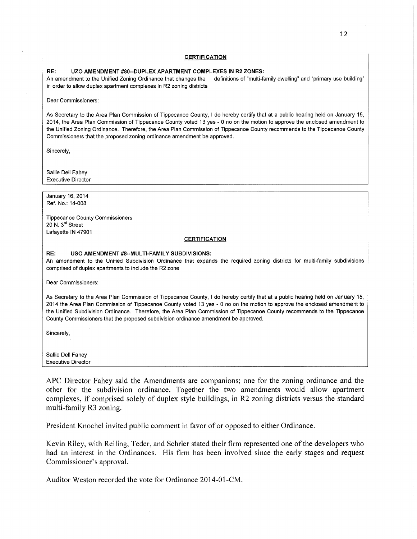#### **CERTIFICATION**

#### RE: UZO AMENDMENT #80--DUPLEX APARTMENT COMPLEXES IN R2 ZONES:

An amendment to the Unified Zoning Ordinance that changes the definitions of "multi-family dwelling" and "primary use building" in order to allow duplex **apartment** complexes in R2 zoning **districts** 

Dear **Commissioners:** 

As Secretary to the Area **Plan Commission** of Tippecanoe County. **I** do **hereby certify** that at a public hearing **held** on January 15, 2014, the Area Plan **Commission** of Tippecanoe **County voted** 13 yes *-* **0** no on the motion to approve the enclosed amendment to the Unified Zoning Ordinance. Therefore, the Area Plan **Commission** of Tippecanoe County recommends to the Tippecanoe **County Commissioners** that the **proposed** zoning ordinance **amendment** be **approved.** 

Sincerely,

Sallie Dell **Fahey**  Executive Director

**January** 16. 2014 Ref. No.: 14-008

**Tippecanoe** County **Commissioners**  20 N. 3''1 **Street Lafayette** IN 47901

#### **CERTIFICATION**

RE: USO AMENDMENT #8--MULTl-FAMILY **SUBDIVISIONS:** 

An amendment to the Unified Subdivision **Ordinance that expands** the **required** zoning **districts** for multi-family subdivisions **comprised** of duplex **apartments** to include the R2 **zone** 

Dear **Commissioners:** 

As Secretary to the Area Plan **Commission** of Tippecanoe County, **I** do **hereby** certify **that** at a **public** hearing **held** on **January** 15, 2014 the Area Plan **Commission** of Tippecanoe County voted 13 yes **-** *0* no on the motion to approve the enclosed amendment to the Unified **Subdivision** Ordinance. Therefore, the Area Plan **Commission** of Tippecanoe **County recommends** to the **Tippecanoe**  County **Commissioners that** the proposed **subdivision ordinance** amendment be approved.

Sincerely,

Sallie Dell Fahey Executive **Director** 

APC Director Fahey said the Amendments are companions; one for the zoning ordinance and the other for the subdivision ordinance. Together the two amendments would allow apartment complexes, if comprised solely of duplex style buildings, in R2 zoning districts versus the standard multi-family R3 zoning.

President Knochel invited public comment in favor of or opposed to either Ordinance.

Kevin Riley, with Reiling, Teder, and Schrier stated their firm represented one of the developers who had an interest in the Ordinances. His firm has been involved since the early stages and reques<sup>t</sup> Commissioner's approval.

Auditor Weston recorded the vote for Ordinance 2014-01-CM.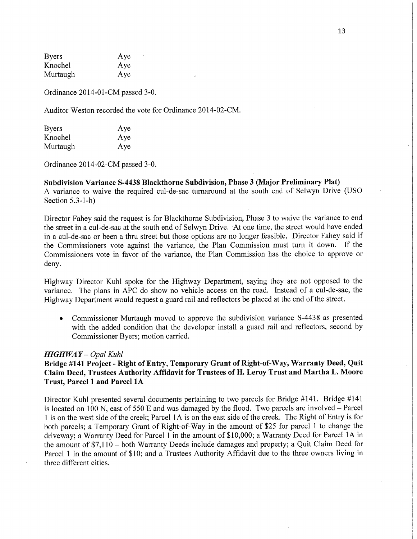Byers Aye Knochel Aye **Murtaugh** Aye

Ordinance 2014-01-CM passed 3-0.

Auditor Weston recorded the vote for Ordinance 2014—02-CM.

| <b>Byers</b> | Aye |
|--------------|-----|
| Knochel      | Aye |
| Murtaugh     | Aye |

Ordinance 2014-02-CM passed 3-0.

Subdivision **Variance S-4438 Blackthorne** Subdivision, **Phase 3 (Major Preliminary** Plat) **A** variance to waive the required cul-de-sac turnaround at the south end of Selwyn Drive (USO Section 5.3-1-h)

Director Fahey said the request is for Blackthome Subdivision, Phase 3 to waive the variance to end the street in a cul-de-sac at the south end of Selwyn Drive. 'At one time, the street would have ended in a cul-de-sac or been a thru street but those options are no longer feasible. Director Fahey said if the Commissioners vote against the variance, the Plan Commission must turn it down. If the Commissioners vote in **favor** of the variance, the **Plan** Commission has the choice to approve or deny. *<i>'*  $\alpha$ <sup>*'*</sup> *'*  $\alpha$ <sup>*'*</sup> *'*  $\alpha$ <sup>*'*</sup> *'*  $\alpha$ <sup>*'*</sup> *'*  $\alpha$ <sup>*'*</sup> *'*  $\alpha$ <sup>'</sup> *'***<sup>***'***</sup>**  $\alpha$ **<sup>'</sup> <b>'**  $\alpha$ <sup>'</sup>  $\beta$ <sup>'</sup>  $\beta$ <sup>'</sup>  $\beta$ <sup>'</sup>  $\beta$ <sup>'</sup>  $\beta$ <sup>'</sup>  $\beta$ <sup>'</sup>  $\beta$ <sup>'</sup>  $\beta$ <sup>'</sup>  $\beta$ <sup>'</sup>  $\beta$ <sup>'</sup>  $\beta$ <sup>'</sup>  $\beta$ 

Highway Director Kuhl spoke for the Highway Department, saying they are not opposed to the **variance.** The plans in APC do show no vehicle access on the road. Instead of a cul-de-sac, the Highway Department would request a guard rail and **reflectors** be placed at the end of the street.

**0** Commissioner Murtaugh moved to approve the subdivision variance S-4438 as presented with the added condition that the developer install a guard rail and reflectors, second by Commissioner Byers; motion carried.

### *HIGH* WA *Y — Opal Kuhl*

# **Bridge #141 Project** *-* **Right** of **Entry, Temporary Grant** of **Right-of-Way, Warranty Deed, Quit**  Claim **Deed, Trustees Authority Affidavit** for **Trustees** of H. **Leroy Trust** and **Martha** L. **Moore Trust, Parcel 1** and **Parcel** 1A

Director Kuhl presented several documents pertaining to two parcels for Bridge #141. Bridge #141 is located on 100 N, east of 550 E and was damaged by the flood. Two parcels are involved **-** Parcel **1** is on the west side of the creek; Parcel 1A is on the east side of the **creek.** The Right of Entry is for both parcels; a Temporary Grant of Right-of—Way in the amount of \$25 for parcel **1** to change the driveway; a Warranty Deed for Parcel **1** in the amount of \$10,000; a Warranty Deed for Parcel 1A in the amount of \$7,110 — both Warranty Deeds include damages and property; a Quit Claim Deed for Parcel 1 in the amount of \$10; and a Trustees Authority Affidavit due to the three owners living in three different cities.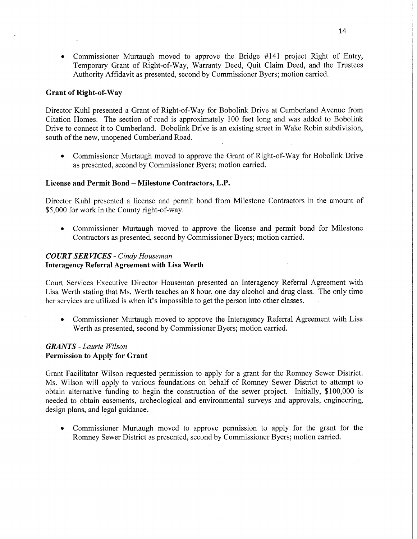**0** Commissioner Murtaugh moved to approve the Bridge #141 project Right of Entry, Temporary Grant of Right-of—Way, Warranty Deed, Quit Claim Deed, and the Trustees Authority Affidavit as presented, second by Commissioner Byers; motion carried.

# Grant of Right-of-Way

Director Kuhl presented a Grant of Right-of—Way for Bobolink Drive at Cumberland Avenue from Citation Homes. The section of road is approximately 100 feet long and was added to Bobolink Drive to connect it to Cumberland. Bobolink Drive is an existing street in Wake Robin subdivision, south of the new, unopened Cumberland Road.

**0** Commissioner Murtaugh moved to approve the Grant of Right-of-Way for Bobolink Drive as presented, second by Commissioner Byers; motion carried.

# **License** and **Permit** Bond **— Milestone** Contractors, **L.P.**

Director Kuhl presented a license and permit bond from Milestone Contractors in the amount of \$5,000 for work in the County right-of-way.

**0** Commissioner Murtaugh moved to approve the license and permit bond for Milestone Contractors as presented, second by Commissioner Byers; motion carried.

# *COURT* SER *VICES - Cindy Houseman*  **Interagency Referral Agreement with Lisa Werth**

Court Services Executive Director Houseman presented an Interagency Referral Agreement with Lisa Werth stating that Ms. Werth teaches an 8 hour, one day alcohol and drug class. The only time her services are utilized is when it's impossible to get the person into other **classes.** 

• Commissioner Murtaugh moved to approve the Interagency Referral Agreement with Lisa Werth as presented, second by Commissioner Byers; motion carried.

# *GRANTS - Laurie Wilson*  Permission to **Apply** for Grant

Grant Facilitator Wilson requested permission to apply for a grant for the Romney Sewer District. Ms. Wilson will apply to various foundations on behalf of Romney Sewer District to attempt to obtain alternative funding to begin the construction of the sewer project. Initially, \$100,000 is needed to obtain easements, archeological and environmental surveys and approvals, engineering, design plans, and legal guidance.

**0** Commissioner Murtaugh moved to approve permission to apply for the grant for the Romney Sewer District as presented, second by Commissioner Byers; motion carried.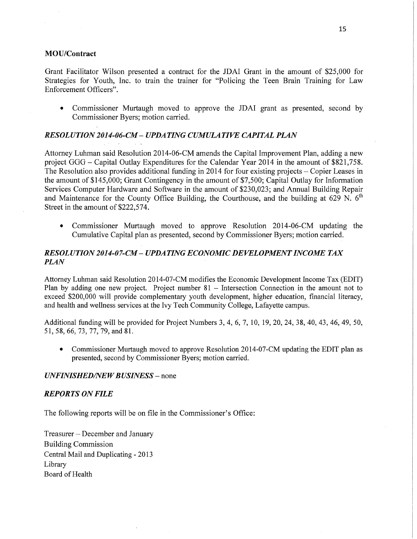# **MOU/Contract**

Grant Facilitator Wilson presented a contract for the JDAI Grant in the amount of \$25,000 for Strategies for Youth, Inc. to train the trainer for "Policing the Teen Brain Training for Law Enforcement Officers".

**0** Commissioner Murtaugh moved to approve the JDAI grant as presented, second by Commissioner Byers; motion carried.

# *RESOLUTION 2014-06-CM UPDA TING CUMULATIVE CAPITAL PLAN*

Attorney Luhman said Resolution 2014-06-CM amends the Capital Improvement Plan, adding a new project GGG— Capital Outlay Expenditures for the Calendar Year 2014 m the amount of \$821, 758. The Resolution also provides additional funding in 2014 for four existing projects – Copier Leases in the amount of \$145,000; Grant Contingency in the amount of \$7 500; Capital Outlay for Information Services Computer Hardware and Software in the amount of \$230,023; and Annual Building Repair and Maintenance for the County Office Building, the Courthouse, and the building at 629 N.  $6<sup>th</sup>$ Street in the amount of \$222,574.

**0** Commissioner Murtaugh moved to approve Resolution 2014-06-CM updating the Cumulative Capital plan as presented, second by Commissioner Byers; motion carried.

# *RESOL UTION 2014-07-CM UPDATING ECONOMIC DEVELOPMENT INCOME* TAX *PLAN*

Attorney Luhman said Resolution 2014-07-CM modifies the Economic Development Income Tax (EDIT) Plan by adding one new project. Project number 81 – Intersection Connection in the amount not to exceed \$200,000 will provide complementary youth development, higher education, financial literacy, and health and wellness services at the Ivy Tech Community College, Lafayette campus.

Additional funding will be provided for Project Numbers 3, 4, 6, 7, 10, 19, 20, 24, 38, 40, 43, 46, 49, 50, 51, 58, 66, 73, 77, 79, and 81.

**0** Commissioner Murtaugh moved to approve Resolution 2014-07-CM updating the EDIT plan as presented, second by Commissioner Byers; motion carried.

# *UNFINISHED/NEW BUSINESS* – none

### *REPORTS* ON *FILE*

The following reports will be on file in the Commissioner's Office:

Treasurer *—* December and January Building Commission Central Mail and Duplicating *-* 2013 Library Board of Health